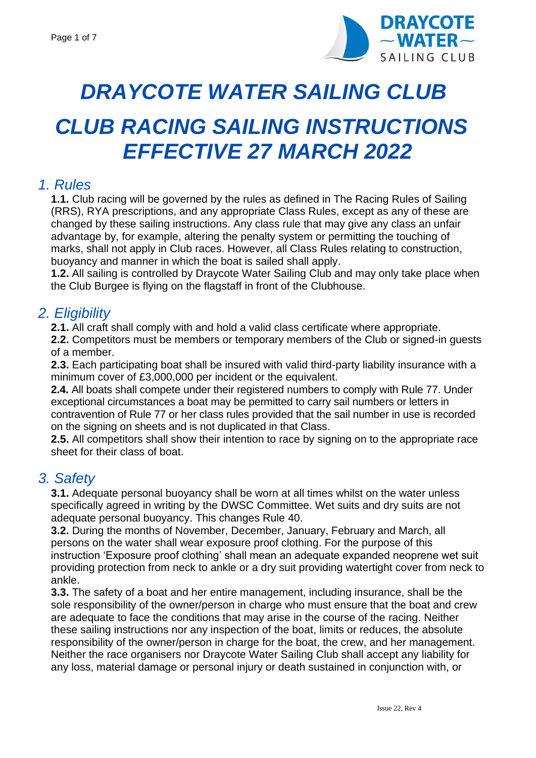

# *DRAYCOTE WATER SAILING CLUB CLUB RACING SAILING INSTRUCTIONS EFFECTIVE 27 MARCH 2022*

### *1. Rules*

**1.1.** Club racing will be governed by the rules as defined in The Racing Rules of Sailing (RRS), RYA prescriptions, and any appropriate Class Rules, except as any of these are changed by these sailing instructions. Any class rule that may give any class an unfair advantage by, for example, altering the penalty system or permitting the touching of marks, shall not apply in Club races. However, all Class Rules relating to construction, buoyancy and manner in which the boat is sailed shall apply.

**1.2.** All sailing is controlled by Draycote Water Sailing Club and may only take place when the Club Burgee is flying on the flagstaff in front of the Clubhouse.

## *2. Eligibility*

**2.1.** All craft shall comply with and hold a valid class certificate where appropriate.

**2.2.** Competitors must be members or temporary members of the Club or signed-in guests of a member.

**2.3.** Each participating boat shall be insured with valid third-party liability insurance with a minimum cover of £3,000,000 per incident or the equivalent.

**2.4.** All boats shall compete under their registered numbers to comply with Rule 77. Under exceptional circumstances a boat may be permitted to carry sail numbers or letters in contravention of Rule 77 or her class rules provided that the sail number in use is recorded on the signing on sheets and is not duplicated in that Class.

**2.5.** All competitors shall show their intention to race by signing on to the appropriate race sheet for their class of boat.

## *3. Safety*

**3.1.** Adequate personal buoyancy shall be worn at all times whilst on the water unless specifically agreed in writing by the DWSC Committee. Wet suits and dry suits are not adequate personal buoyancy. This changes Rule 40.

**3.2.** During the months of November, December, January, February and March, all persons on the water shall wear exposure proof clothing. For the purpose of this instruction 'Exposure proof clothing' shall mean an adequate expanded neoprene wet suit providing protection from neck to ankle or a dry suit providing watertight cover from neck to ankle.

**3.3.** The safety of a boat and her entire management, including insurance, shall be the sole responsibility of the owner/person in charge who must ensure that the boat and crew are adequate to face the conditions that may arise in the course of the racing. Neither these sailing instructions nor any inspection of the boat, limits or reduces, the absolute responsibility of the owner/person in charge for the boat, the crew, and her management. Neither the race organisers nor Draycote Water Sailing Club shall accept any liability for any loss, material damage or personal injury or death sustained in conjunction with, or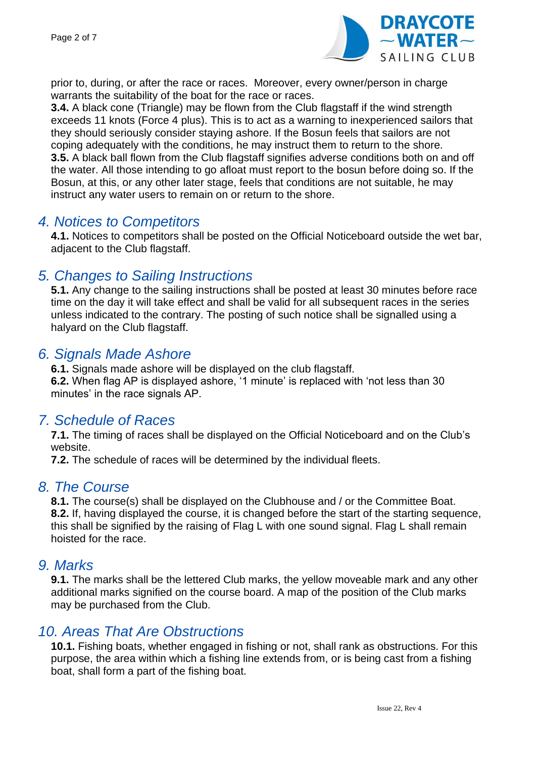

prior to, during, or after the race or races. Moreover, every owner/person in charge warrants the suitability of the boat for the race or races.

**3.4.** A black cone (Triangle) may be flown from the Club flagstaff if the wind strength exceeds 11 knots (Force 4 plus). This is to act as a warning to inexperienced sailors that they should seriously consider staying ashore. If the Bosun feels that sailors are not coping adequately with the conditions, he may instruct them to return to the shore. **3.5.** A black ball flown from the Club flagstaff signifies adverse conditions both on and off the water. All those intending to go afloat must report to the bosun before doing so. If the Bosun, at this, or any other later stage, feels that conditions are not suitable, he may instruct any water users to remain on or return to the shore.

#### *4. Notices to Competitors*

**4.1.** Notices to competitors shall be posted on the Official Noticeboard outside the wet bar, adjacent to the Club flagstaff.

## *5. Changes to Sailing Instructions*

**5.1.** Any change to the sailing instructions shall be posted at least 30 minutes before race time on the day it will take effect and shall be valid for all subsequent races in the series unless indicated to the contrary. The posting of such notice shall be signalled using a halyard on the Club flagstaff.

### *6. Signals Made Ashore*

**6.1.** Signals made ashore will be displayed on the club flagstaff. **6.2.** When flag AP is displayed ashore, '1 minute' is replaced with 'not less than 30 minutes' in the race signals AP.

#### *7. Schedule of Races*

**7.1.** The timing of races shall be displayed on the Official Noticeboard and on the Club's website.

**7.2.** The schedule of races will be determined by the individual fleets.

## *8. The Course*

**8.1.** The course(s) shall be displayed on the Clubhouse and / or the Committee Boat. **8.2.** If, having displayed the course, it is changed before the start of the starting sequence, this shall be signified by the raising of Flag L with one sound signal. Flag L shall remain hoisted for the race.

#### *9. Marks*

**9.1.** The marks shall be the lettered Club marks, the yellow moveable mark and any other additional marks signified on the course board. A map of the position of the Club marks may be purchased from the Club.

#### *10. Areas That Are Obstructions*

**10.1.** Fishing boats, whether engaged in fishing or not, shall rank as obstructions. For this purpose, the area within which a fishing line extends from, or is being cast from a fishing boat, shall form a part of the fishing boat.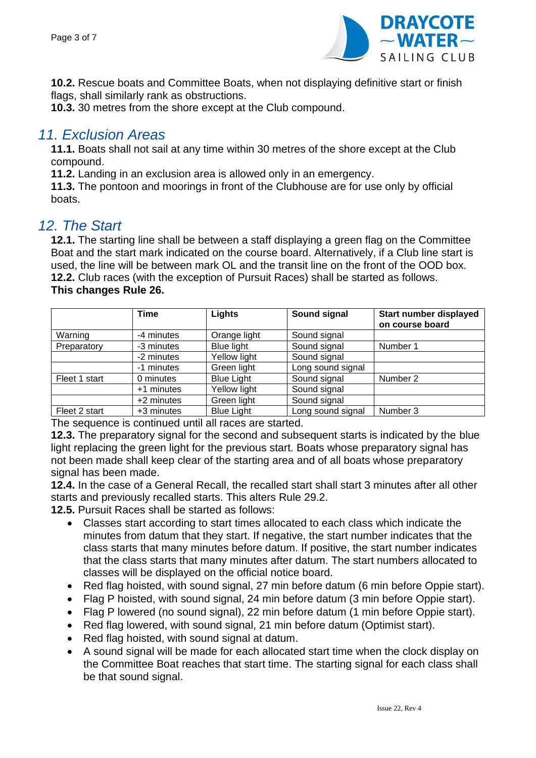

**10.2.** Rescue boats and Committee Boats, when not displaying definitive start or finish flags, shall similarly rank as obstructions.

**10.3.** 30 metres from the shore except at the Club compound.

### *11. Exclusion Areas*

**11.1.** Boats shall not sail at any time within 30 metres of the shore except at the Club compound.

**11.2.** Landing in an exclusion area is allowed only in an emergency.

**11.3.** The pontoon and moorings in front of the Clubhouse are for use only by official boats.

### *12. The Start*

**12.1.** The starting line shall be between a staff displaying a green flag on the Committee Boat and the start mark indicated on the course board. Alternatively, if a Club line start is used, the line will be between mark OL and the transit line on the front of the OOD box. **12.2.** Club races (with the exception of Pursuit Races) shall be started as follows. **This changes Rule 26.**

|               | <b>Time</b> | Lights            | Sound signal      | Start number displayed<br>on course board |
|---------------|-------------|-------------------|-------------------|-------------------------------------------|
| Warning       | -4 minutes  | Orange light      | Sound signal      |                                           |
| Preparatory   | -3 minutes  | Blue light        | Sound signal      | Number 1                                  |
|               | -2 minutes  | Yellow light      | Sound signal      |                                           |
|               | -1 minutes  | Green light       | Long sound signal |                                           |
| Fleet 1 start | 0 minutes   | <b>Blue Light</b> | Sound signal      | Number 2                                  |
|               | +1 minutes  | Yellow light      | Sound signal      |                                           |
|               | +2 minutes  | Green light       | Sound signal      |                                           |
| Fleet 2 start | +3 minutes  | <b>Blue Light</b> | Long sound signal | Number 3                                  |

The sequence is continued until all races are started.

**12.3.** The preparatory signal for the second and subsequent starts is indicated by the blue light replacing the green light for the previous start. Boats whose preparatory signal has not been made shall keep clear of the starting area and of all boats whose preparatory signal has been made.

**12.4.** In the case of a General Recall, the recalled start shall start 3 minutes after all other starts and previously recalled starts. This alters Rule 29.2.

**12.5.** Pursuit Races shall be started as follows:

- Classes start according to start times allocated to each class which indicate the minutes from datum that they start. If negative, the start number indicates that the class starts that many minutes before datum. If positive, the start number indicates that the class starts that many minutes after datum. The start numbers allocated to classes will be displayed on the official notice board.
- Red flag hoisted, with sound signal, 27 min before datum (6 min before Oppie start).
- Flag P hoisted, with sound signal, 24 min before datum (3 min before Oppie start).
- Flag P lowered (no sound signal), 22 min before datum (1 min before Oppie start).
- Red flag lowered, with sound signal, 21 min before datum (Optimist start).
- Red flag hoisted, with sound signal at datum.
- A sound signal will be made for each allocated start time when the clock display on the Committee Boat reaches that start time. The starting signal for each class shall be that sound signal.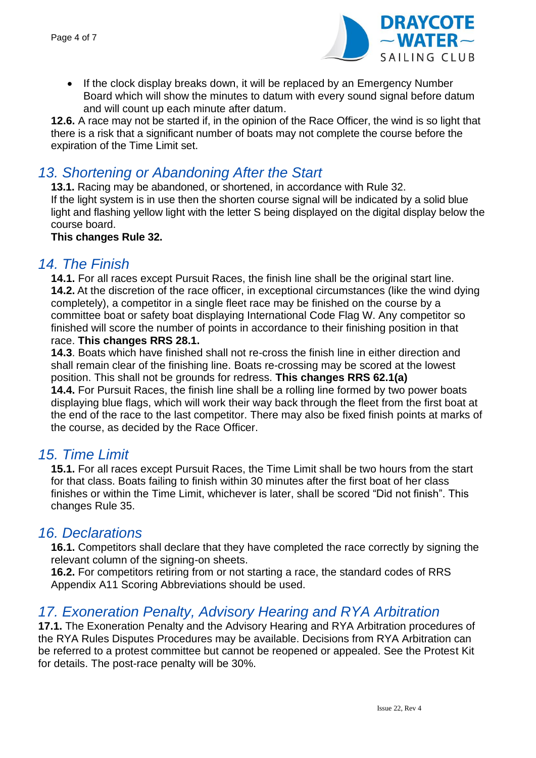

• If the clock display breaks down, it will be replaced by an Emergency Number Board which will show the minutes to datum with every sound signal before datum and will count up each minute after datum.

**12.6.** A race may not be started if, in the opinion of the Race Officer, the wind is so light that there is a risk that a significant number of boats may not complete the course before the expiration of the Time Limit set.

## *13. Shortening or Abandoning After the Start*

**13.1.** Racing may be abandoned, or shortened, in accordance with Rule 32. If the light system is in use then the shorten course signal will be indicated by a solid blue light and flashing yellow light with the letter S being displayed on the digital display below the course board.

#### **This changes Rule 32.**

#### *14. The Finish*

**14.1.** For all races except Pursuit Races, the finish line shall be the original start line. **14.2.** At the discretion of the race officer, in exceptional circumstances (like the wind dying completely), a competitor in a single fleet race may be finished on the course by a committee boat or safety boat displaying International Code Flag W. Any competitor so finished will score the number of points in accordance to their finishing position in that race. **This changes RRS 28.1.**

**14.3**. Boats which have finished shall not re-cross the finish line in either direction and shall remain clear of the finishing line. Boats re-crossing may be scored at the lowest position. This shall not be grounds for redress. **This changes RRS 62.1(a)**

**14.4.** For Pursuit Races, the finish line shall be a rolling line formed by two power boats displaying blue flags, which will work their way back through the fleet from the first boat at the end of the race to the last competitor. There may also be fixed finish points at marks of the course, as decided by the Race Officer.

#### *15. Time Limit*

**15.1.** For all races except Pursuit Races, the Time Limit shall be two hours from the start for that class. Boats failing to finish within 30 minutes after the first boat of her class finishes or within the Time Limit, whichever is later, shall be scored "Did not finish". This changes Rule 35.

## *16. Declarations*

**16.1.** Competitors shall declare that they have completed the race correctly by signing the relevant column of the signing-on sheets.

**16.2.** For competitors retiring from or not starting a race, the standard codes of RRS Appendix A11 Scoring Abbreviations should be used.

## 17. Exoneration Penalty, Advisory Hearing and RYA Arbitration

**17.1.** The Exoneration Penalty and the Advisory Hearing and RYA Arbitration procedures of the RYA Rules Disputes Procedures may be available. Decisions from RYA Arbitration can be referred to a protest committee but cannot be reopened or appealed. See the Protest Kit for details. The post-race penalty will be 30%.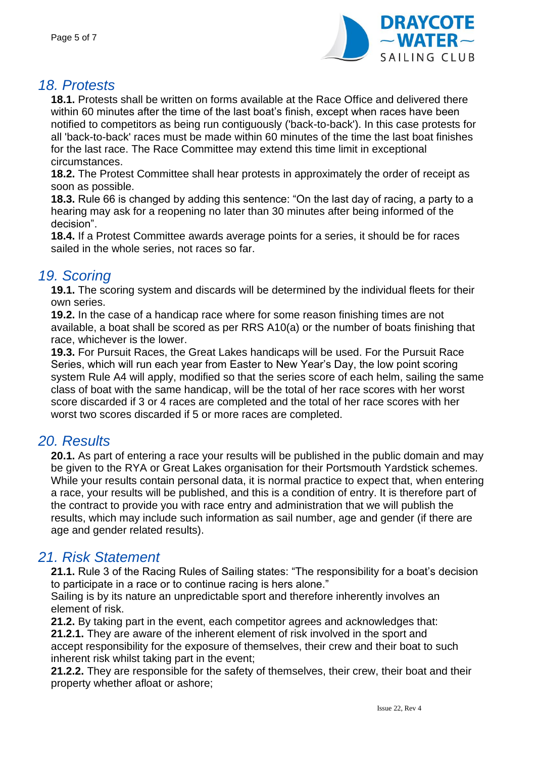

## *18. Protests*

**18.1.** Protests shall be written on forms available at the Race Office and delivered there within 60 minutes after the time of the last boat's finish, except when races have been notified to competitors as being run contiguously ('back-to-back'). In this case protests for all 'back-to-back' races must be made within 60 minutes of the time the last boat finishes for the last race. The Race Committee may extend this time limit in exceptional circumstances.

**18.2.** The Protest Committee shall hear protests in approximately the order of receipt as soon as possible.

**18.3.** Rule 66 is changed by adding this sentence: "On the last day of racing, a party to a hearing may ask for a reopening no later than 30 minutes after being informed of the decision".

**18.4.** If a Protest Committee awards average points for a series, it should be for races sailed in the whole series, not races so far.

## *19. Scoring*

**19.1.** The scoring system and discards will be determined by the individual fleets for their own series.

**19.2.** In the case of a handicap race where for some reason finishing times are not available, a boat shall be scored as per RRS A10(a) or the number of boats finishing that race, whichever is the lower.

**19.3.** For Pursuit Races, the Great Lakes handicaps will be used. For the Pursuit Race Series, which will run each year from Easter to New Year's Day, the low point scoring system Rule A4 will apply, modified so that the series score of each helm, sailing the same class of boat with the same handicap, will be the total of her race scores with her worst score discarded if 3 or 4 races are completed and the total of her race scores with her worst two scores discarded if 5 or more races are completed.

## *20. Results*

**20.1.** As part of entering a race your results will be published in the public domain and may be given to the RYA or Great Lakes organisation for their Portsmouth Yardstick schemes. While your results contain personal data, it is normal practice to expect that, when entering a race, your results will be published, and this is a condition of entry. It is therefore part of the contract to provide you with race entry and administration that we will publish the results, which may include such information as sail number, age and gender (if there are age and gender related results).

## *21. Risk Statement*

**21.1.** Rule 3 of the Racing Rules of Sailing states: "The responsibility for a boat's decision to participate in a race or to continue racing is hers alone."

Sailing is by its nature an unpredictable sport and therefore inherently involves an element of risk.

**21.2.** By taking part in the event, each competitor agrees and acknowledges that: **21.2.1.** They are aware of the inherent element of risk involved in the sport and accept responsibility for the exposure of themselves, their crew and their boat to such inherent risk whilst taking part in the event;

**21.2.2.** They are responsible for the safety of themselves, their crew, their boat and their property whether afloat or ashore;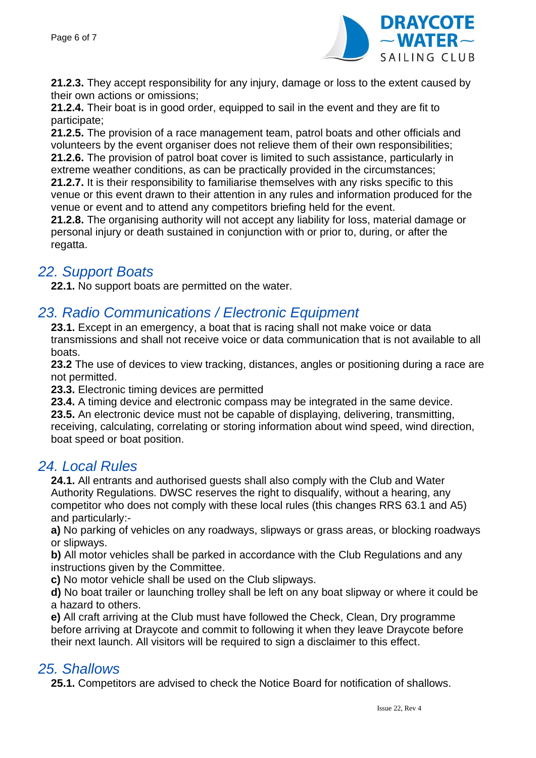

**21.2.3.** They accept responsibility for any injury, damage or loss to the extent caused by their own actions or omissions;

**21.2.4.** Their boat is in good order, equipped to sail in the event and they are fit to participate;

**21.2.5.** The provision of a race management team, patrol boats and other officials and volunteers by the event organiser does not relieve them of their own responsibilities; **21.2.6.** The provision of patrol boat cover is limited to such assistance, particularly in extreme weather conditions, as can be practically provided in the circumstances;

**21.2.7.** It is their responsibility to familiarise themselves with any risks specific to this venue or this event drawn to their attention in any rules and information produced for the venue or event and to attend any competitors briefing held for the event.

**21.2.8.** The organising authority will not accept any liability for loss, material damage or personal injury or death sustained in conjunction with or prior to, during, or after the regatta.

## *22. Support Boats*

**22.1.** No support boats are permitted on the water.

## *23. Radio Communications / Electronic Equipment*

**23.1.** Except in an emergency, a boat that is racing shall not make voice or data transmissions and shall not receive voice or data communication that is not available to all boats.

**23.2** The use of devices to view tracking, distances, angles or positioning during a race are not permitted.

**23.3.** Electronic timing devices are permitted

**23.4.** A timing device and electronic compass may be integrated in the same device.

**23.5.** An electronic device must not be capable of displaying, delivering, transmitting, receiving, calculating, correlating or storing information about wind speed, wind direction, boat speed or boat position.

#### *24. Local Rules*

**24.1.** All entrants and authorised guests shall also comply with the Club and Water Authority Regulations. DWSC reserves the right to disqualify, without a hearing, any competitor who does not comply with these local rules (this changes RRS 63.1 and A5) and particularly:-

**a)** No parking of vehicles on any roadways, slipways or grass areas, or blocking roadways or slipways.

**b)** All motor vehicles shall be parked in accordance with the Club Regulations and any instructions given by the Committee.

**c)** No motor vehicle shall be used on the Club slipways.

**d)** No boat trailer or launching trolley shall be left on any boat slipway or where it could be a hazard to others.

**e)** All craft arriving at the Club must have followed the Check, Clean, Dry programme before arriving at Draycote and commit to following it when they leave Draycote before their next launch. All visitors will be required to sign a disclaimer to this effect.

## *25. Shallows*

**25.1.** Competitors are advised to check the Notice Board for notification of shallows.